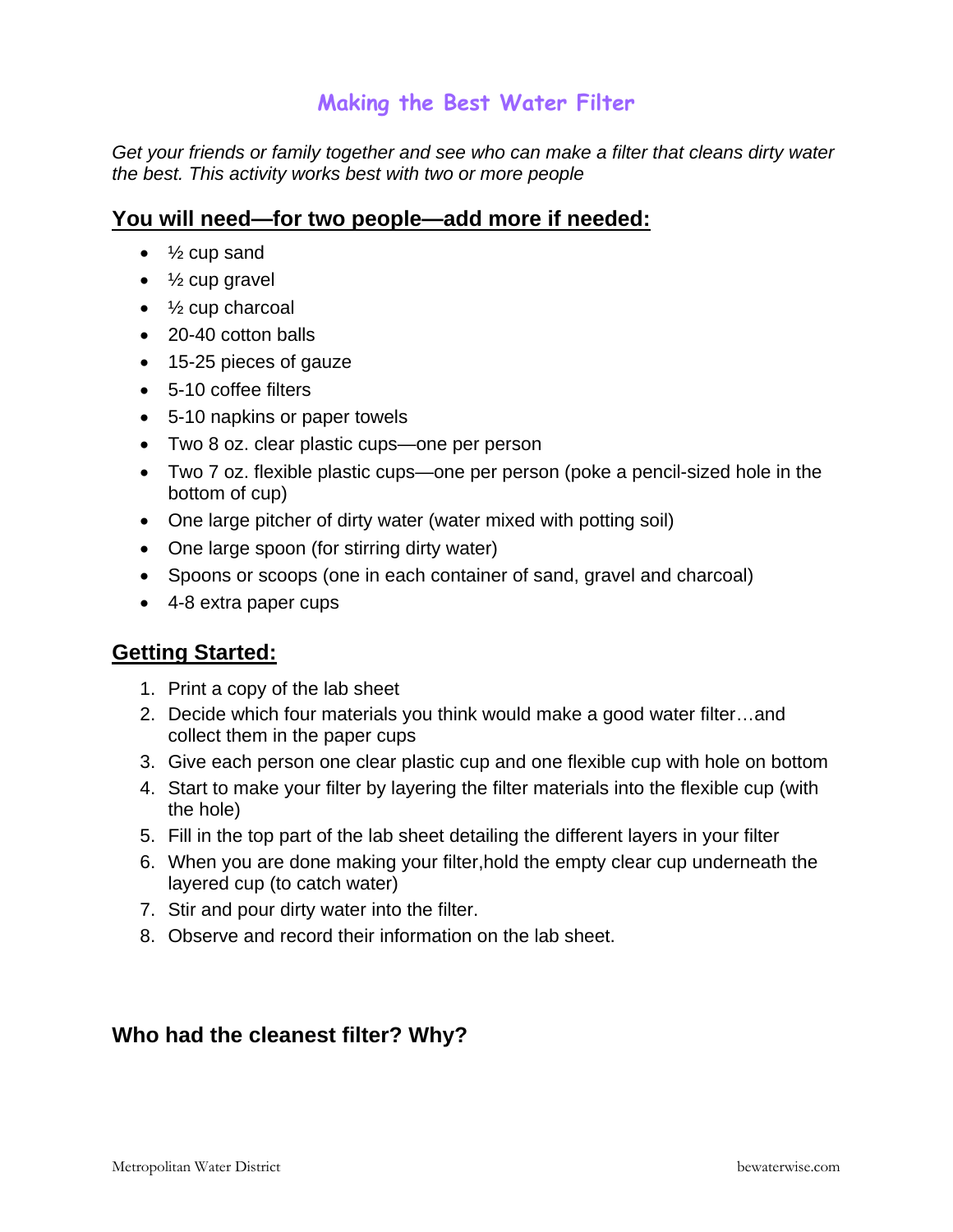## **Making the Best Water Filter**

*Get your friends or family together and see who can make a filter that cleans dirty water the best. This activity works best with two or more people* 

## **You will need—for two people—add more if needed:**

- $\frac{1}{2}$  cup sand
- $\bullet\quad$  1/<sub>2</sub> cup gravel
- $\bullet$   $\frac{1}{2}$  cup charcoal
- 20-40 cotton balls
- 15-25 pieces of gauze
- 5-10 coffee filters
- 5-10 napkins or paper towels
- Two 8 oz. clear plastic cups—one per person
- Two 7 oz. flexible plastic cups—one per person (poke a pencil-sized hole in the bottom of cup)
- One large pitcher of dirty water (water mixed with potting soil)
- One large spoon (for stirring dirty water)
- Spoons or scoops (one in each container of sand, gravel and charcoal)
- 4-8 extra paper cups

## **Getting Started:**

- 1. Print a copy of the lab sheet
- 2. Decide which four materials you think would make a good water filter…and collect them in the paper cups
- 3. Give each person one clear plastic cup and one flexible cup with hole on bottom
- 4. Start to make your filter by layering the filter materials into the flexible cup (with the hole)
- 5. Fill in the top part of the lab sheet detailing the different layers in your filter
- 6. When you are done making your filter,hold the empty clear cup underneath the layered cup (to catch water)
- 7. Stir and pour dirty water into the filter.
- 8. Observe and record their information on the lab sheet.

## **Who had the cleanest filter? Why?**